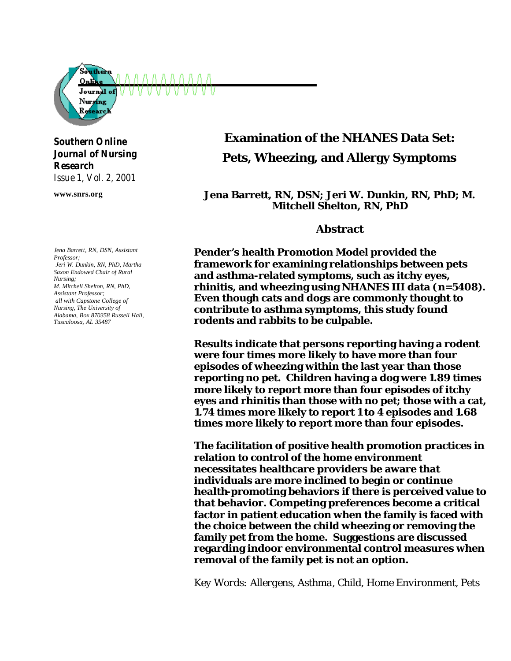

#### *Southern Online Journal of Nursing Research Issue 1, Vol. 2, 2001*

**www.snrs.org**

*Jena Barrett, RN, DSN, Assistant Professor; Jeri W. Dunkin, RN, PhD, Martha Saxon Endowed Chair of Rural Nursing; M. Mitchell Shelton, RN, PhD, Assistant Professor; all with Capstone College of Nursing, The University of Alabama, Box 870358 Russell Hall, Tuscaloosa, AL 35487*

# **Examination of the NHANES Data Set: Pets, Wheezing, and Allergy Symptoms**

**Jena Barrett, RN, DSN; Jeri W. Dunkin, RN, PhD; M. Mitchell Shelton, RN, PhD**

#### **Abstract**

**Pender's health Promotion Model provided the framework for examining relationships between pets and asthma-related symptoms, such as itchy eyes, rhinitis, and wheezing using NHANES III data (***n***=5408). Even though cats and dogs are commonly thought to contribute to asthma symptoms, this study found rodents and rabbits to be culpable.**

**Results indicate that persons reporting having a rodent were four times more likely to have more than four episodes of wheezing within the last year than those reporting no pet. Children having a dog were 1.89 times more likely to report more than four episodes of itchy eyes and rhinitis than those with no pet; those with a cat, 1.74 times more likely to report 1 to 4 episodes and 1.68 times more likely to report more than four episodes.**

**The facilitation of positive health promotion practices in relation to control of the home environment necessitates healthcare providers be aware that individuals are more inclined to begin or continue health-promoting behaviors if there is perceived value to that behavior. Competing preferences become a critical factor in patient education when the family is faced with the choice between the child wheezing or removing the family pet from the home. Suggestions are discussed regarding indoor environmental control measures when removal of the family pet is not an option.** 

*Key Words: Allergens, Asthma, Child, Home Environment, Pets*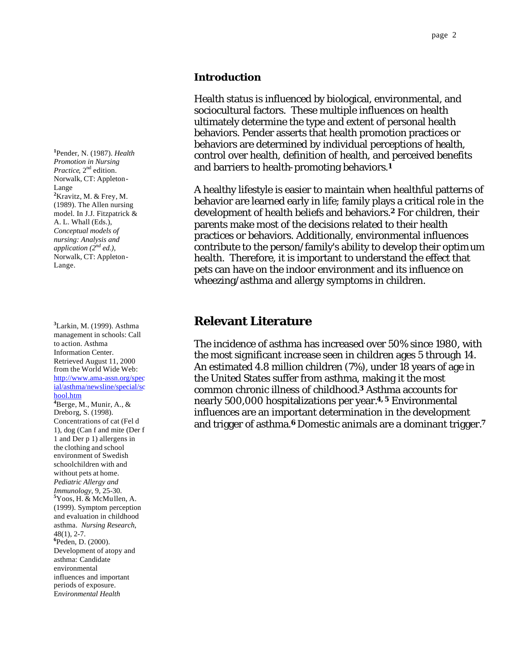#### **Introduction**

Health status is influenced by biological, environmental, and sociocultural factors. These multiple influences on health ultimately determine the type and extent of personal health behaviors. Pender asserts that health promotion practices or behaviors are determined by individual perceptions of health, control over health, definition of health, and perceived benefits and barriers to health-promoting behaviors.**<sup>1</sup>**

A healthy lifestyle is easier to maintain when healthful patterns of behavior are learned early in life; family plays a critical role in the development of health beliefs and behaviors.**2** For children, their parents make most of the decisions related to their health practices or behaviors. Additionally, environmental influences contribute to the person/family's ability to develop their optimum health. Therefore, it is important to understand the effect that pets can have on the indoor environment and its influence on wheezing/asthma and allergy symptoms in children.

## **Relevant Literature**

The incidence of asthma has increased over 50% since 1980, with the most significant increase seen in children ages 5 through 14. An estimated 4.8 million children (7%), under 18 years of age in the United States suffer from asthma, making it the most common chronic illness of childhood.**3** Asthma accounts for nearly 500,000 hospitalizations per year.**4, 5** Environmental influences are an important determination in the development and trigger of asthma.**<sup>6</sup>** Domestic animals are a dominant trigger.**<sup>7</sup>**

**1** Pender, N. (1987). *Health Promotion in Nursing*  Practice, 2<sup>nd</sup> edition. Norwalk, CT: Appleton-Lange **2** Kravitz, M. & Frey, M. (1989). The Allen nursing model. In J.J. Fitzpatrick & A. L. Whall (Eds.), *Conceptual models of nursing: Analysis and application (2nd ed.)*, Norwalk, CT: Appleton-Lange.

**3** Larkin, M. (1999). Asthma management in schools: Call to action. Asthma Information Center. Retrieved August 11, 2000 from the World Wide Web: http://www.ama-assn.org/spec [ial/asthma/newsline/special/sc](http://www.ama-assn.org/special/asthma/newsline/special/school.htm) hool.htm **4** Berge, M., Munir, A., & Dreborg, S. (1998). Concentrations of cat (Fel d 1), dog (Can f and mite (Der f 1 and Der p 1) allergens in the clothing and school environment of Swedish schoolchildren with and without pets at home. *Pediatric Allergy and Immunology*, 9, 25-30. **<sup>5</sup>** Yoos, H. & McMullen, A. (1999). Symptom perception and evaluation in childhood asthma. *Nursing Research*, 48(1), 2-7. **<sup>6</sup>** Peden, D. (2000). Development of atopy and asthma: Candidate environmental influences and important periods of exposure. E*nvironmental Health*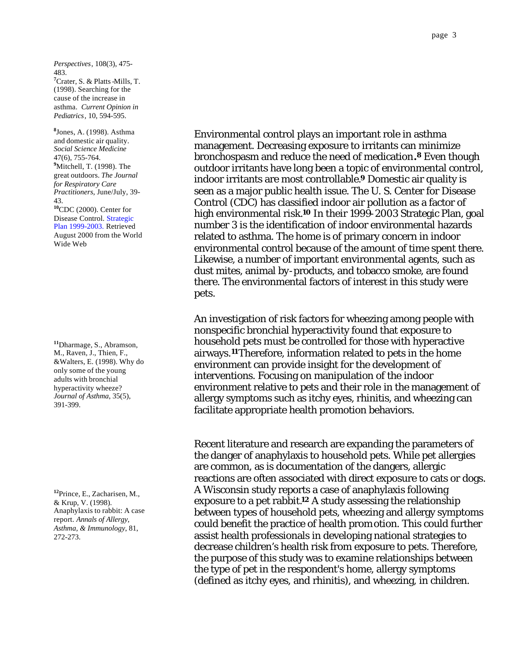*Perspectives*, 108(3), 475- 483. **7** Crater, S. & Platts-Mills, T. (1998). Searching for the cause of the increase in asthma. *Current Opinion in Pediatrics*, 10, 594-595.

**8** Jones, A. (1998). Asthma and domestic air quality. *Social Science Medicine* 47(6), 755-764. **9** Mitchell, T. (1998). The great outdoors. *The Journal for Respiratory Care Practitioners*, June/July, 39- 43. **<sup>10</sup>**CDC (2000). Center for Disease Control. Strategic [Plan 1999-2003. Retrieved](http://www.cdc.gov/nceh/publications/stratplan/default.htm)  August 2000 from the World Wide Web

**<sup>11</sup>**Dharmage, S., Abramson, M., Raven, J., Thien, F., &Walters, E. (1998). Why do only some of the young adults with bronchial hyperactivity wheeze? *Journal of Asthma*, 35(5), 391-399.

**<sup>12</sup>**Prince, E., Zacharisen, M., & Krup, V. (1998). Anaphylaxis to rabbit: A case report. *Annals of Allergy, Asthma, & Immunology*, 81, 272-273.

Environmental control plays an important role in asthma management. Decreasing exposure to irritants can minimize bronchospasm and reduce the need of medication**.8** Even though outdoor irritants have long been a topic of environmental control, indoor irritants are most controllable.**<sup>9</sup>** Domestic air quality is seen as a major public health issue. The U. S. Center for Disease Control (CDC) has classified indoor air pollution as a factor of high environmental risk.**10** In their 1999-2003 Strategic Plan, goal number 3 is the identification of indoor environmental hazards related to asthma. The home is of primary concern in indoor environmental control because of the amount of time spent there. Likewise, a number of important environmental agents, such as dust mites, animal by-products, and tobacco smoke, are found there. The environmental factors of interest in this study were pets.

An investigation of risk factors for wheezing among people with nonspecific bronchial hyperactivity found that exposure to household pets must be controlled for those with hyperactive airways.**11**Therefore, information related to pets in the home environment can provide insight for the development of interventions. Focusing on manipulation of the indoor environment relative to pets and their role in the management of allergy symptoms such as itchy eyes, rhinitis, and wheezing can facilitate appropriate health promotion behaviors.

Recent literature and research are expanding the parameters of the danger of anaphylaxis to household pets. While pet allergies are common, as is documentation of the dangers, allergic reactions are often associated with direct exposure to cats or dogs. A Wisconsin study reports a case of anaphylaxis following exposure to a pet rabbit.**12** A study assessing the relationship between types of household pets, wheezing and allergy symptoms could benefit the practice of health promotion. This could further assist health professionals in developing national strategies to decrease children's health risk from exposure to pets. Therefore, the purpose of this study was to examine relationships between the type of pet in the respondent's home, allergy symptoms (defined as itchy eyes, and rhinitis), and wheezing, in children.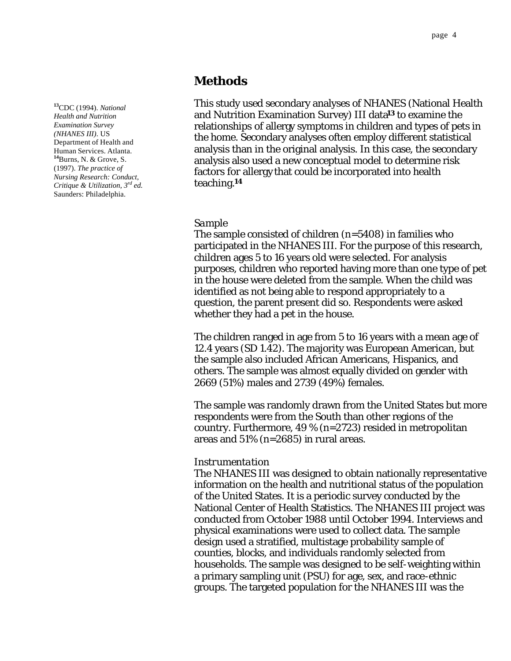### **Methods**

This study used secondary analyses of NHANES (National Health and Nutrition Examination Survey) III data**13** to examine the relationships of allergy symptoms in children and types of pets in the home. Secondary analyses often employ different statistical analysis than in the original analysis. In this case, the secondary analysis also used a new conceptual model to determine risk factors for allergy that could be incorporated into health teaching.**<sup>14</sup>**

#### *Sample*

The sample consisted of children (*n*=5408) in families who participated in the NHANES III. For the purpose of this research, children ages 5 to 16 years old were selected. For analysis purposes, children who reported having more than one type of pet in the house were deleted from the sample. When the child was identified as not being able to respond appropriately to a question, the parent present did so. Respondents were asked whether they had a pet in the house.

The children ranged in age from 5 to 16 years with a mean age of 12.4 years (SD 1.42). The majority was European American, but the sample also included African Americans, Hispanics, and others. The sample was almost equally divided on gender with 2669 (51%) males and 2739 (49%) females.

The sample was randomly drawn from the United States but more respondents were from the South than other regions of the country. Furthermore, 49 % (n=2723) resided in metropolitan areas and 51% (n=2685) in rural areas.

#### *Instrumentation*

The NHANES III was designed to obtain nationally representative information on the health and nutritional status of the population of the United States. It is a periodic survey conducted by the National Center of Health Statistics. The NHANES III project was conducted from October 1988 until October 1994. Interviews and physical examinations were used to collect data. The sample design used a stratified, multistage probability sample of counties, blocks, and individuals randomly selected from households. The sample was designed to be self-weighting within a primary sampling unit (PSU) for age, sex, and race-ethnic groups. The targeted population for the NHANES III was the

**<sup>13</sup>**CDC (1994). *National Health and Nutrition Examination Survey (NHANES III)*. US Department of Health and Human Services. Atlanta. **<sup>14</sup>**Burns, N. & Grove, S. (1997). *The practice of Nursing Research: Conduct, Critique & Utilization, 3rd ed.* Saunders: Philadelphia.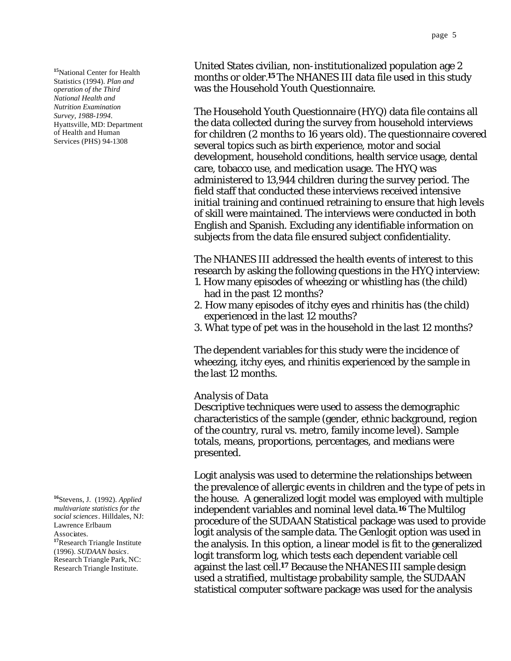**<sup>15</sup>**National Center for Health Statistics (1994). *Plan and operation of the Third National Health and Nutrition Examination Survey, 1988-1994*. Hyattsville, MD: Department of Health and Human Services (PHS) 94-1308

**<sup>16</sup>**Stevens, J. (1992). *Applied multivariate statistics for the social sciences*. Hilldales, NJ: Lawrence Erlbaum Associates. **<sup>17</sup>**Research Triangle Institute (1996). *SUDAAN basics*. Research Triangle Park, NC: Research Triangle Institute.

United States civilian, non-institutionalized population age 2 months or older.**<sup>15</sup>** The NHANES III data file used in this study was the Household Youth Questionnaire.

The Household Youth Questionnaire (HYQ) data file contains all the data collected during the survey from household interviews for children (2 months to 16 years old). The questionnaire covered several topics such as birth experience, motor and social development, household conditions, health service usage, dental care, tobacco use, and medication usage. The HYQ was administered to 13,944 children during the survey period. The field staff that conducted these interviews received intensive initial training and continued retraining to ensure that high levels of skill were maintained. The interviews were conducted in both English and Spanish. Excluding any identifiable information on subjects from the data file ensured subject confidentiality.

The NHANES III addressed the health events of interest to this research by asking the following questions in the HYQ interview:

- 1. How many episodes of wheezing or whistling has (the child) had in the past 12 months?
- 2. How many episodes of itchy eyes and rhinitis has (the child) experienced in the last 12 mouths?
- 3. What type of pet was in the household in the last 12 months?

The dependent variables for this study were the incidence of wheezing, itchy eyes, and rhinitis experienced by the sample in the last 12 months.

#### *Analysis of Data*

Descriptive techniques were used to assess the demographic characteristics of the sample (gender, ethnic background, region of the country, rural vs. metro, family income level). Sample totals, means, proportions, percentages, and medians were presented.

Logit analysis was used to determine the relationships between the prevalence of allergic events in children and the type of pets in the house. A generalized logit model was employed with multiple independent variables and nominal level data.**16** The Multilog procedure of the SUDAAN Statistical package was used to provide logit analysis of the sample data. The Genlogit option was used in the analysis. In this option, a linear model is fit to the generalized logit transform log, which tests each dependent variable cell against the last cell.**17** Because the NHANES III sample design used a stratified, multistage probability sample, the SUDAAN statistical computer software package was used for the analysis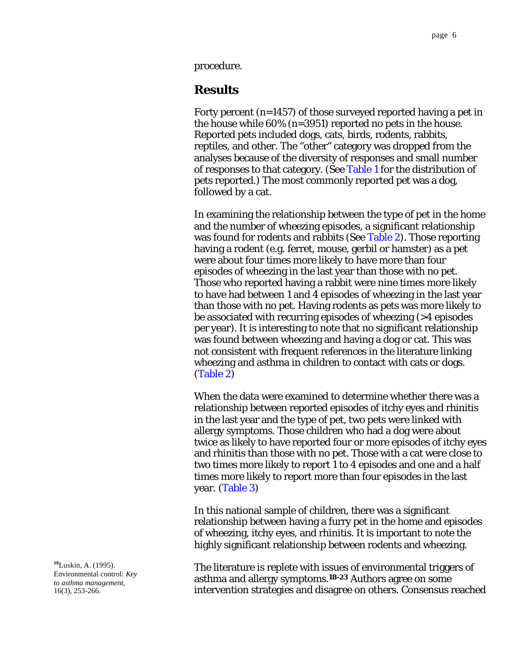<span id="page-5-0"></span>procedure.

## **Results**

Forty percent (n=1457) of those surveyed reported having a pet in the house while 60% (n=3951) reported no pets in the house. Reported pets included dogs, cats, birds, rodents, rabbits, reptiles, and other. The "other" category was dropped from the analyses because of the diversity of responses and small number of responses to that category. [\(See Table 1](#page-9-0) for the distribution of pets reported.) The most commonly reported pet was a dog, followed by a cat.

In examining the relationship between the type of pet in the home and the number of wheezing episodes, a significant relationship was found for rodents and rabbits [\(See Table 2\).](#page-9-0) Those reporting having a rodent (e.g. ferret, mouse, gerbil or hamster) as a pet were about four times more likely to have more than four episodes of wheezing in the last year than those with no pet. Those who reported having a rabbit were nine times more likely to have had between 1 and 4 episodes of wheezing in the last year than those with no pet. Having rodents as pets was more likely to be associated with recurring episodes of wheezing (>4 episodes per year). It is interesting to note that no significant relationship was found between wheezing and having a dog or cat. This was not consistent with frequent references in the literature linking wheezing and asthma in children to contact with cats or dogs. [\(Table 2\)](#page-9-0)

When the data were examined to determine whether there was a relationship between reported episodes of itchy eyes and rhinitis in the last year and the type of pet, two pets were linked with allergy symptoms. Those children who had a dog were about twice as likely to have reported four or more episodes of itchy eyes and rhinitis than those with no pet. Those with a cat were close to two times more likely to report 1 to 4 episodes and one and a half times more likely to report more than four episodes in the last year. [\(Table 3\)](#page-10-0)

In this national sample of children, there was a significant relationship between having a furry pet in the home and episodes of wheezing, itchy eyes, and rhinitis. It is important to note the highly significant relationship between rodents and wheezing.

The literature is replete with issues of environmental triggers of asthma and allergy symptoms.**18-23** Authors agree on some intervention strategies and disagree on others. Consensus reached

 **<sup>18</sup>**Luskin, A. (1995). Environmental control: *Key to asthma management*, 16(3), 253-266.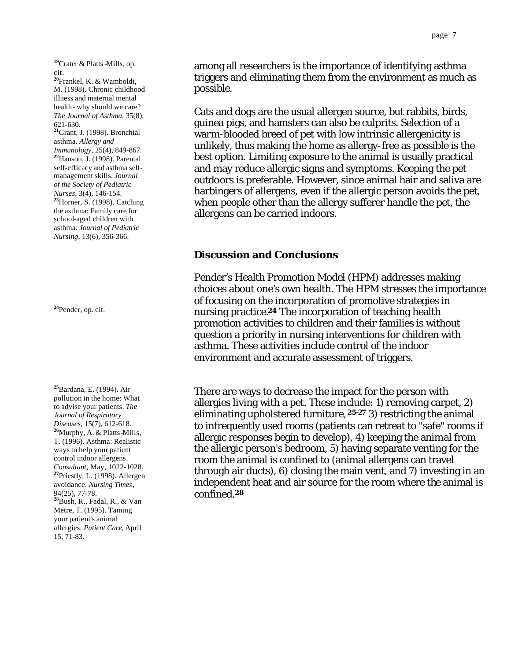**<sup>19</sup>**Crater & Platts-Mills, op. cit.

**<sup>20</sup>**Frankel, K. & Wamboldt, M. (1998). Chronic childhood illness and maternal mental health- why should we care? *The Journal of Asthma*, 35(8), 621-630. **<sup>21</sup>**Grant, J. (1998). Bronchial asthma. *Allergy and Immunology*, 25(4), 849-867. **<sup>22</sup>**Hanson, J. (1998). Parental self-efficacy and asthma selfmanagement skills. *Journal of the Society of Pediatric Nurses,* 3(4), 146-154. **<sup>23</sup>**Horner, S. (1998). Catching the asthma: Family care for school-aged children with asthma. *Journal of Pediatric Nursing*, 13(6), 356-366.

**<sup>24</sup>**Pender, op. cit.

**<sup>25</sup>**Bardana, E. (1994). Air pollution in the home: What to advise your patients. *The Journal of Respiratory Diseases,* 15(7), 612-618. **<sup>26</sup>**Murphy, A. & Platts-Mills, T. (1996). Asthma: Realistic ways to help your patient control indoor allergens*. Consultant*, May, 1022-1028. **<sup>27</sup>**Priestly, L. (1998). Allergen avoidance. *Nursing Times*, 94(25), 77-78. **<sup>28</sup>**Bush, R., Fadal, R., & Van Metre, T. (1995). Taming your patient's animal allergies. *Patient Care*, April 15, 71-83.

among all researchers is the importance of identifying asthma triggers and eliminating them from the environment as much as possible.

Cats and dogs are the usual allergen source, but rabbits, birds, guinea pigs, and hamsters can also be culprits. Selection of a warm-blooded breed of pet with low intrinsic allergenicity is unlikely, thus making the home as allergy-free as possible is the best option. Limiting exposure to the animal is usually practical and may reduce allergic signs and symptoms. Keeping the pet outdoors is preferable. However, since animal hair and saliva are harbingers of allergens, even if the allergic person avoids the pet, when people other than the allergy sufferer handle the pet, the allergens can be carried indoors.

#### **Discussion and Conclusions**

Pender's Health Promotion Model (HPM) addresses making choices about one's own health. The HPM stresses the importance of focusing on the incorporation of promotive strategies in nursing practice.**24** The incorporation of teaching health promotion activities to children and their families is without question a priority in nursing interventions for children with asthma. These activities include control of the indoor environment and accurate assessment of triggers.

There are ways to decrease the impact for the person with allergies living with a pet. These include: 1) removing carpet, 2) eliminating upholstered furniture, **25-27** 3) restricting the animal to infrequently used rooms (patients can retreat to "safe" rooms if allergic responses begin to develop), 4) keeping the animal from the allergic person's bedroom, 5) having separate venting for the room the animal is confined to (animal allergens can travel through air ducts), 6) closing the main vent, and 7) investing in an independent heat and air source for the room where the animal is confined.**28**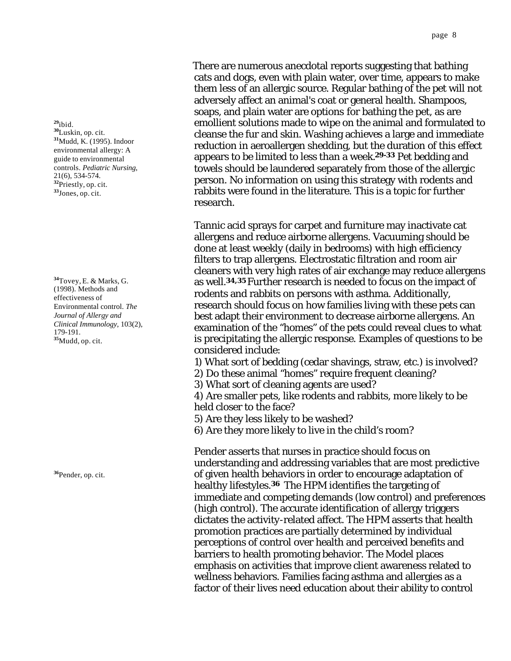There are numerous anecdotal reports suggesting that bathing cats and dogs, even with plain water, over time, appears to make them less of an allergic source. Regular bathing of the pet will not adversely affect an animal's coat or general health. Shampoos, soaps, and plain water are options for bathing the pet, as are emollient solutions made to wipe on the animal and formulated to cleanse the fur and skin. Washing achieves a large and immediate reduction in aeroallergen shedding, but the duration of this effect appears to be limited to less than a week.**29-33** Pet bedding and towels should be laundered separately from those of the allergic person. No information on using this strategy with rodents and rabbits were found in the literature. This is a topic for further research.

Tannic acid sprays for carpet and furniture may inactivate cat allergens and reduce airborne allergens. Vacuuming should be done at least weekly (daily in bedrooms) with high efficiency filters to trap allergens. Electrostatic filtration and room air cleaners with very high rates of air exchange may reduce allergens as well.**34,35** Further research is needed to focus on the impact of rodents and rabbits on persons with asthma. Additionally, research should focus on how families living with these pets can best adapt their environment to decrease airborne allergens. An examination of the "homes" of the pets could reveal clues to what is precipitating the allergic response. Examples of questions to be considered include:

1) What sort of bedding (cedar shavings, straw, etc.) is involved?

2) Do these animal "homes" require frequent cleaning?

3) What sort of cleaning agents are used?

4) Are smaller pets, like rodents and rabbits, more likely to be held closer to the face?

5) Are they less likely to be washed?

6) Are they more likely to live in the child's room?

Pender asserts that nurses in practice should focus on understanding and addressing variables that are most predictive of given health behaviors in order to encourage adaptation of healthy lifestyles.**36** The HPM identifies the targeting of immediate and competing demands (low control) and preferences (high control). The accurate identification of allergy triggers dictates the activity-related affect. The HPM asserts that health promotion practices are partially determined by individual perceptions of control over health and perceived benefits and barriers to health promoting behavior. The Model places emphasis on activities that improve client awareness related to wellness behaviors. Families facing asthma and allergies as a factor of their lives need education about their ability to control

**<sup>29</sup>**ibid. **<sup>30</sup>**Luskin, op. cit. **<sup>31</sup>**Mudd, K. (1995). Indoor environmental allergy: A guide to environmental controls. *Pediatric Nursing*, 21(6), 534-574. **<sup>32</sup>**Priestly, op. cit. **<sup>33</sup>**Jones, op. cit.

**<sup>34</sup>**Tovey, E. & Marks, G. (1998). Methods and effectiveness of Environmental control. *The Journal of Allergy and Clinical Immunology*, 103(2), 179-191. **<sup>35</sup>**Mudd, op. cit.

**<sup>36</sup>**Pender, op. cit.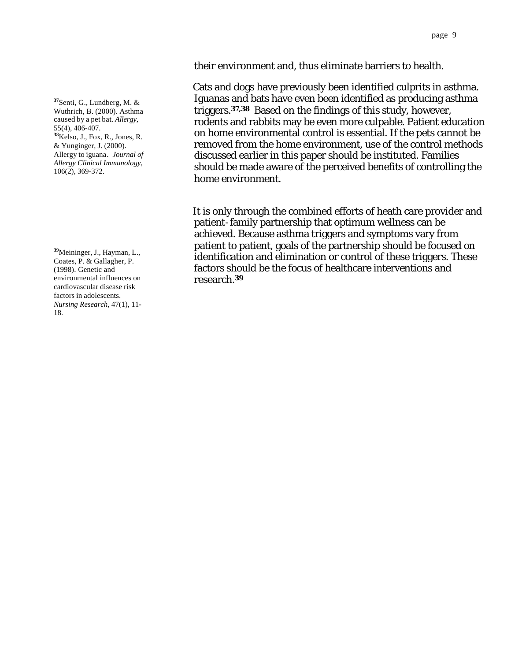their environment and, thus eliminate barriers to health.

Cats and dogs have previously been identified culprits in asthma. Iguanas and bats have even been identified as producing asthma triggers.**37,38** Based on the findings of this study, however, rodents and rabbits may be even more culpable. Patient education on home environmental control is essential. If the pets cannot be removed from the home environment, use of the control methods discussed earlier in this paper should be instituted. Families should be made aware of the perceived benefits of controlling the home environment.

It is only through the combined efforts of heath care provider and patient-family partnership that optimum wellness can be achieved. Because asthma triggers and symptoms vary from patient to patient, goals of the partnership should be focused on identification and elimination or control of these triggers. These factors should be the focus of healthcare interventions and research.**39**

**<sup>37</sup>**Senti, G., Lundberg, M. & Wuthrich, B. (2000). Asthma caused by a pet bat. *Allergy,* 55(4), 406-407. **<sup>38</sup>**Kelso, J., Fox, R., Jones, R. & Yunginger, J. (2000). Allergy to iguana*. Journal of Allergy Clinical Immunology*, 106(2), 369-372.

**<sup>39</sup>**Meininger, J., Hayman, L., Coates, P. & Gallagher, P. (1998). Genetic and environmental influences on cardiovascular disease risk factors in adolescents. *Nursing Research,* 47(1), 11- 18.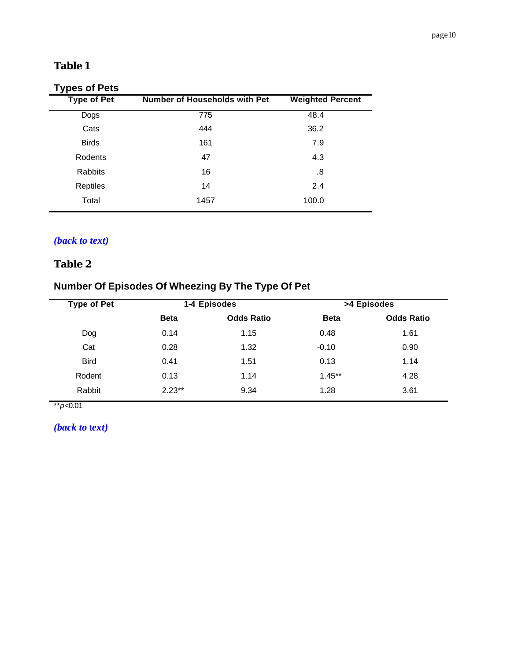# <span id="page-9-0"></span>**Table 1**

# **Types of Pets**

| . .<br><b>Type of Pet</b> | <b>Number of Households with Pet</b> | <b>Weighted Percent</b> |  |
|---------------------------|--------------------------------------|-------------------------|--|
| Dogs                      | 775                                  | 48.4                    |  |
| Cats                      | 444                                  | 36.2                    |  |
| <b>Birds</b>              | 161                                  | 7.9                     |  |
| Rodents                   | 47                                   | 4.3                     |  |
| Rabbits                   | 16                                   | .8                      |  |
| Reptiles                  | 14                                   | 2.4                     |  |
| Total                     | 1457                                 | 100.0                   |  |

# *[\(back to text\)](#page-5-0)*

# **Table 2**

# **Number Of Episodes Of Wheezing By The Type Of Pet**

| <b>Type of Pet</b> | 1-4 Episodes |                   | >4 Episodes |                   |
|--------------------|--------------|-------------------|-------------|-------------------|
|                    | <b>Beta</b>  | <b>Odds Ratio</b> | <b>Beta</b> | <b>Odds Ratio</b> |
| Dog                | 0.14         | 1.15              | 0.48        | 1.61              |
| Cat                | 0.28         | 1.32              | $-0.10$     | 0.90              |
| <b>Bird</b>        | 0.41         | 1.51              | 0.13        | 1.14              |
| Rodent             | 0.13         | 1.14              | $1.45**$    | 4.28              |
| Rabbit             | $2.23**$     | 9.34              | 1.28        | 3.61              |

\*\**p*<0.01

*[\(back to](#page-5-0) text)*